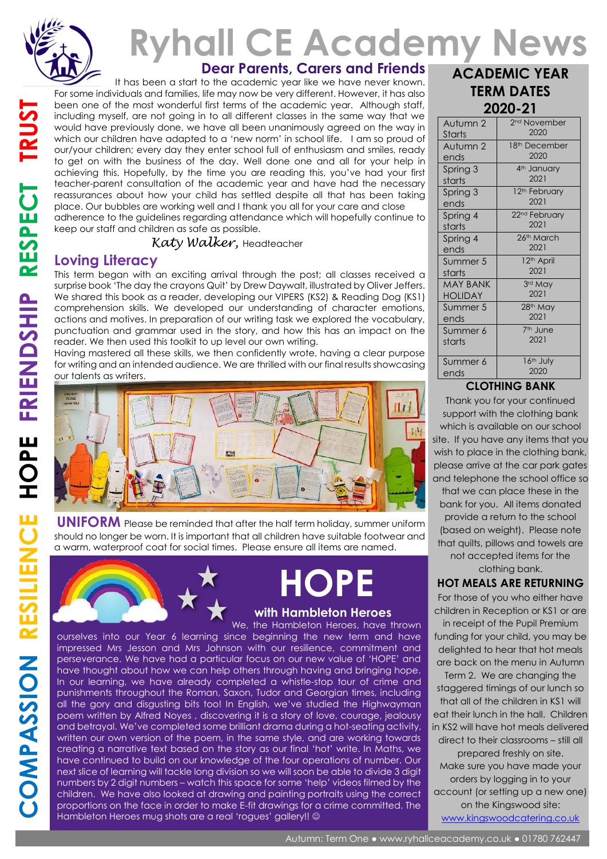

# **Ryhall CE Academy News ACADEMIC YEAR**

**Dear Parents, Carers and Friends**

 It has been a start to the academic year like we have never known. For some individuals and families, life may now be very different. However, it has also been one of the most wonderful first terms of the academic year. Although staff, including myself, are not going in to all different classes in the same way that we would have previously done, we have all been unanimously agreed on the way in which our children have adapted to a 'new norm' in school life. I am so proud of our/your children; every day they enter school full of enthusiasm and smiles, ready to get on with the business of the day. Well done one and all for your help in achieving this. Hopefully, by the time you are reading this, you've had your first teacher-parent consultation of the academic year and have had the necessary reassurances about how your child has settled despite all that has been taking place. Our bubbles are working well and I thank you all for your care and close adherence to the guidelines regarding attendance which will hopefully continue to keep our staff and children as safe as possible.

#### *Katy Walker,* Headteacher

## **Loving Literacy**

This term began with an exciting arrival through the post; all classes received a surprise book 'The day the crayons Quit' by Drew Daywalt, illustrated by Oliver Jeffers. We shared this book as a reader, developing our VIPERS (KS2) & Reading Dog (KS1) comprehension skills. We developed our understanding of character emotions, actions and motives. In preparation of our writing task we explored the vocabulary, punctuation and grammar used in the story, and how this has an impact on the reader. We then used this toolkit to up level our own writing.

Having mastered all these skills, we then confidently wrote, having a clear purpose for writing and an intended audience. We are thrilled with our final results showcasing our talents as writers.



**UNIFORM** Please be reminded that after the half term holiday, summer uniform should no longer be worn. It is important that all children have suitable footwear and a warm, waterproof coat for social times. Please ensure all items are named.



# **HOPE**

#### **with Hambleton Heroes**

We, the Hambleton Heroes, have thrown ourselves into our Year 6 learning since beginning the new term and have impressed Mrs Jesson and Mrs Johnson with our resilience, commitment and perseverance. We have had a particular focus on our new value of 'HOPE' and have thought about how we can help others through having and bringing hope. In our learning, we have already completed a whistle-stop tour of crime and punishments throughout the Roman, Saxon, Tudor and Georgian times, including all the gory and disgusting bits too! In English, we've studied the Highwayman poem written by Alfred Noyes , discovering it is a story of love, courage, jealousy and betrayal. We've completed some brilliant drama during a hot-seating activity, written our own version of the poem, in the same style, and are working towards creating a narrative text based on the story as our final 'hot' write. In Maths, we have continued to build on our knowledge of the four operations of number. Our next slice of learning will tackle long division so we will soon be able to divide 3 digit numbers by 2 digit numbers – watch this space for some 'help' videos filmed by the children. We have also looked at drawing and painting portraits using the correct proportions on the face in order to make E-fit drawings for a crime committed. The Hambleton Heroes mug shots are a real 'rogues' gallery!! ©

| <b>TERM DATES</b> |                           |
|-------------------|---------------------------|
| 2020-21           |                           |
| Autumn 2          | 2 <sup>nd</sup> November  |
| <b>Starts</b>     | 2020                      |
| Autumn 2          | 18 <sup>th</sup> December |
| ends              | 2020                      |
| Spring 3          | 4 <sup>th</sup> January   |
| starts            | 2021                      |
| Spring 3          | 12 <sup>th</sup> February |
| ends              | 2021                      |
| Spring 4          | 22 <sup>nd</sup> February |
| starts            | 2021                      |
| Spring 4          | 26th March                |
| ends              | 2021                      |
| Summer 5          | 12 <sup>th</sup> April    |
| starts            | 2021                      |
| <b>MAY BANK</b>   | 3rd May                   |
| <b>HOLIDAY</b>    | 2021                      |
| Summer 5          | 28th May                  |
| ends              | 2021                      |
| Summer 6          | 7 <sup>th</sup> June      |
| starts            | 2021                      |
| Summer 6          | 16 <sup>th</sup> July     |
| ends              | 2020                      |

#### **CLOTHING BANK**

Thank you for your continued support with the clothing bank which is available on our school site. If you have any items that you wish to place in the clothing bank, please arrive at the car park gates and telephone the school office so that we can place these in the bank for you. All items donated

provide a return to the school (based on weight). Please note that quilts, pillows and towels are not accepted items for the clothing bank.

#### **HOT MEALS ARE RETURNING**

For those of you who either have children in Reception or KS1 or are in receipt of the Pupil Premium funding for your child, you may be delighted to hear that hot meals are back on the menu in Autumn

Term 2. We are changing the staggered timings of our lunch so that all of the children in KS1 will eat their lunch in the hall. Children in KS2 will have hot meals delivered direct to their classrooms – still all prepared freshly on site. Make sure you have made your orders by logging in to your account (or setting up a new one) on the Kingswood site: [www.kingswoodcatering.co.uk](http://www.kingswoodcatering.co.uk/)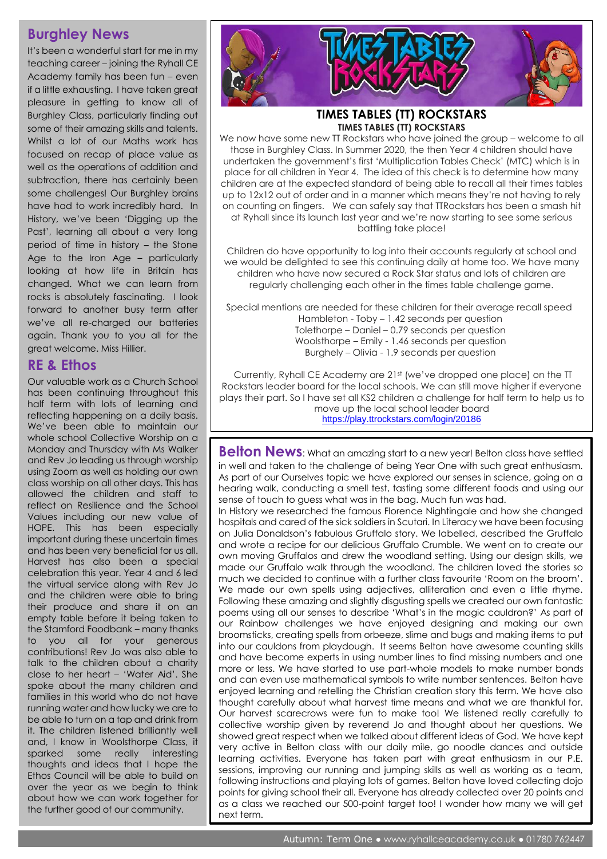## **Burghley News**

It's been a wonderful start for me in my teaching career – joining the Ryhall CE Academy family has been fun – even if a little exhausting. I have taken great pleasure in getting to know all of Burghley Class, particularly finding out some of their amazing skills and talents. Whilst a lot of our Maths work has focused on recap of place value as well as the operations of addition and subtraction, there has certainly been some challenges! Our Burghley brains have had to work incredibly hard. In History, we've been 'Digging up the Past', learning all about a very long period of time in history – the Stone Age to the Iron Age – particularly looking at how life in Britain has changed. What we can learn from rocks is absolutely fascinating. I look forward to another busy term after we've all re-charged our batteries again. Thank you to you all for the great welcome. Miss Hillier.

#### **RE & Ethos**

Our valuable work as a Church School has been continuing throughout this half term with lots of learning and reflecting happening on a daily basis. We've been able to maintain our whole school Collective Worship on a Monday and Thursday with Ms Walker and Rev Jo leading us through worship using Zoom as well as holding our own class worship on all other days. This has allowed the children and staff to reflect on Resilience and the School Values including our new value of HOPE. This has been especially important during these uncertain times and has been very beneficial for us all. Harvest has also been a special celebration this year. Year 4 and 6 led the virtual service along with Rev Jo and the children were able to bring their produce and share it on an empty table before it being taken to the Stamford Foodbank – many thanks to you all for your generous contributions! Rev Jo was also able to talk to the children about a charity close to her heart – 'Water Aid'. She spoke about the many children and families in this world who do not have running water and how lucky we are to be able to turn on a tap and drink from it. The children listened brilliantly well and, I know in Woolsthorpe Class, it sparked some really interesting thoughts and ideas that I hope the Ethos Council will be able to build on over the year as we begin to think about how we can work together for the further good of our community.



#### **TIMES TABLES (TT) ROCKSTARS TIMES TABLES (TT) ROCKSTARS**

We now have some new TT Rockstars who have joined the group – welcome to all those in Burghley Class. In Summer 2020, the then Year 4 children should have undertaken the government's first 'Multiplication Tables Check' (MTC) which is in place for all children in Year 4. The idea of this check is to determine how many children are at the expected standard of being able to recall all their times tables up to 12x12 out of order and in a manner which means they're not having to rely on counting on fingers. We can safely say that TTRockstars has been a smash hit at Ryhall since its launch last year and we're now starting to see some serious battling take place!

Children do have opportunity to log into their accounts regularly at school and we would be delighted to see this continuing daily at home too. We have many children who have now secured a Rock Star status and lots of children are regularly challenging each other in the times table challenge game.

Special mentions are needed for these children for their average recall speed Hambleton - Toby – 1.42 seconds per question Tolethorpe – Daniel – 0.79 seconds per question Woolsthorpe – Emily - 1.46 seconds per question Burghely – Olivia - 1.9 seconds per question

Currently, Ryhall CE Academy are 21st (we've dropped one place) on the TT Rockstars leader board for the local schools. We can still move higher if everyone plays their part. So I have set all KS2 children a challenge for half term to help us to move up the local school leader board

https://play.ttrockstars.com/login/20186

**Belton News**: What an amazing start to a new year! Belton class have settled in well and taken to the challenge of being Year One with such great enthusiasm. As part of our Ourselves topic we have explored our senses in science, going on a hearing walk, conducting a smell test, tasting some different foods and using our sense of touch to guess what was in the bag. Much fun was had.

In History we researched the famous Florence Nightingale and how she changed hospitals and cared of the sick soldiers in Scutari. In Literacy we have been focusing on Julia Donaldson's fabulous Gruffalo story. We labelled, described the Gruffalo and wrote a recipe for our delicious Gruffalo Crumble. We went on to create our own moving Gruffalos and drew the woodland setting. Using our design skills, we made our Gruffalo walk through the woodland. The children loved the stories so much we decided to continue with a further class favourite 'Room on the broom'. We made our own spells using adjectives, alliteration and even a little rhyme. Following these amazing and slightly disgusting spells we created our own fantastic poems using all our senses to describe 'What's in the magic cauldron?' As part of our Rainbow challenges we have enjoyed designing and making our own broomsticks, creating spells from orbeeze, slime and bugs and making items to put into our cauldons from playdough. It seems Belton have awesome counting skills and have become experts in using number lines to find missing numbers and one more or less. We have started to use part-whole models to make number bonds and can even use mathematical symbols to write number sentences. Belton have enjoyed learning and retelling the Christian creation story this term. We have also thought carefully about what harvest time means and what we are thankful for. Our harvest scarecrows were fun to make too! We listened really carefully to collective worship given by reverend Jo and thought about her questions. We showed great respect when we talked about different ideas of God. We have kept very active in Belton class with our daily mile, go noodle dances and outside learning activities. Everyone has taken part with great enthusiasm in our P.E. sessions, improving our running and jumping skills as well as working as a team, following instructions and playing lots of games. Belton have loved collecting dojo points for giving school their all. Everyone has already collected over 20 points and as a class we reached our 500-point target too! I wonder how many we will get next term.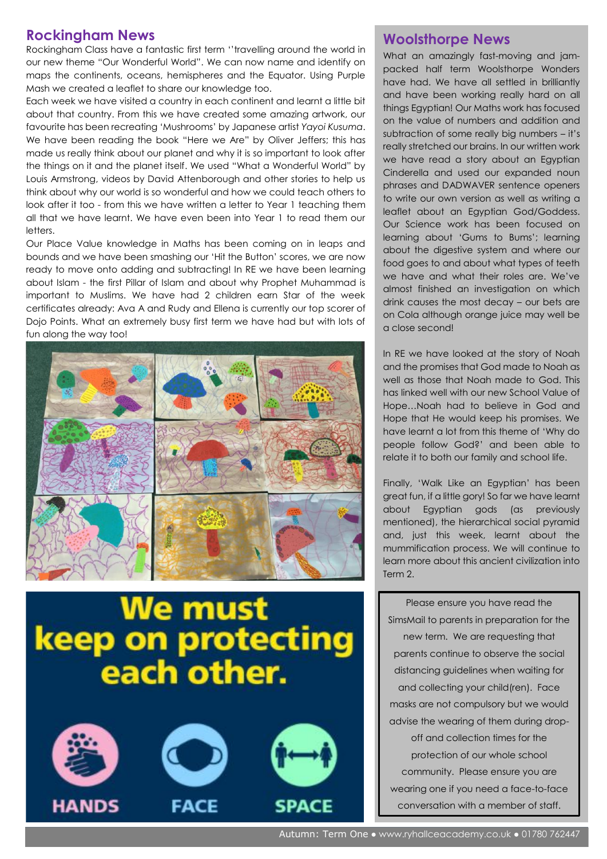#### **Rockingham News**

Rockingham Class have a fantastic first term ''travelling around the world in our new theme "Our Wonderful World". We can now name and identify on maps the continents, oceans, hemispheres and the Equator. Using Purple Mash we created a leaflet to share our knowledge too.

Each week we have visited a country in each continent and learnt a little bit about that country. From this we have created some amazing artwork, our favourite has been recreating 'Mushrooms' by Japanese artist *Yayoi Kusuma*. We have been reading the book "Here we Are" by Oliver Jeffers; this has made us really think about our planet and why it is so important to look after the things on it and the planet itself. We used "What a Wonderful World" by Louis Armstrong, videos by David Attenborough and other stories to help us think about why our world is so wonderful and how we could teach others to look after it too - from this we have written a letter to Year 1 teaching them all that we have learnt. We have even been into Year 1 to read them our letters.

Our Place Value knowledge in Maths has been coming on in leaps and bounds and we have been smashing our 'Hit the Button' scores, we are now ready to move onto adding and subtracting! In RE we have been learning about Islam - the first Pillar of Islam and about why Prophet Muhammad is important to Muslims. We have had 2 children earn Star of the week certificates already: Ava A and Rudy and Ellena is currently our top scorer of Dojo Points. What an extremely busy first term we have had but with lots of fun along the way too!



# We must **keep on protecting** each other.







#### **Woolsthorpe News**

What an amazingly fast-moving and jampacked half term Woolsthorpe Wonders have had. We have all settled in brilliantly and have been working really hard on all things Egyptian! Our Maths work has focused on the value of numbers and addition and subtraction of some really big numbers – it's really stretched our brains. In our written work we have read a story about an Egyptian Cinderella and used our expanded noun phrases and DADWAVER sentence openers to write our own version as well as writing a leaflet about an Egyptian God/Goddess. Our Science work has been focused on learning about 'Gums to Bums'; learning about the digestive system and where our food goes to and about what types of teeth we have and what their roles are. We've almost finished an investigation on which drink causes the most decay – our bets are on Cola although orange juice may well be a close second!

In RE we have looked at the story of Noah and the promises that God made to Noah as well as those that Noah made to God. This has linked well with our new School Value of Hope…Noah had to believe in God and Hope that He would keep his promises. We have learnt a lot from this theme of 'Why do people follow God?' and been able to relate it to both our family and school life.

Finally, 'Walk Like an Egyptian' has been great fun, if a little gory! So far we have learnt about Egyptian gods (as previously mentioned), the hierarchical social pyramid and, just this week, learnt about the mummification process. We will continue to learn more about this ancient civilization into Term 2.

Please ensure you have read the SimsMail to parents in preparation for the new term. We are requesting that parents continue to observe the social distancing guidelines when waiting for and collecting your child(ren). Face masks are not compulsory but we would advise the wearing of them during dropoff and collection times for the protection of our whole school community. Please ensure you are wearing one if you need a face-to-face conversation with a member of staff.